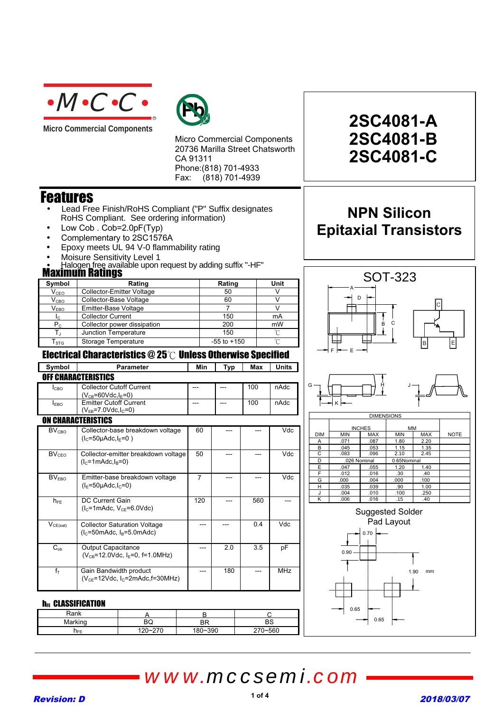

**Micro Commercial Components** 



Micro Commercial Components 20736 Marilla Street Chatsworth CA 91311 Phone:(818) 701-4933 Fax: (818) 701-4939

## Features

- Lead Free Finish/RoHS Compliant ("P" Suffix designates RoHS Compliant. See ordering information)
- Low Cob. Cob=2.0pF(Typ)
- Complementary to 2SC1576A
- Epoxy meets UL 94 V-0 flammability rating
- Moisure Sensitivity Level 1
- Halogen free available upon request by adding suffix "-HF"

### **Maximum Ratings**

| Symbol                      | Rating                           | Rating          | Unit |
|-----------------------------|----------------------------------|-----------------|------|
| $\mathsf{V}_{\texttt{CEO}}$ | <b>Collector-Emitter Voltage</b> | 50              |      |
| $\mathsf{V}_{\texttt{CBO}}$ | Collector-Base Voltage           | 60              |      |
| $\mathsf{V}_{\mathsf{EBO}}$ | Emitter-Base Voltage             |                 |      |
| Ic.                         | <b>Collector Current</b>         | 150             | mA   |
| $\mathsf{P}_\mathsf{C}$     | Collector power dissipation      | 200             | mW   |
|                             | Junction Temperature             | 150             | ∽    |
| $\mathsf{T}_{\text{STG}}$   | Storage Temperature              | $-55$ to $+150$ | ∽    |
|                             |                                  |                 |      |

### Electrical Characteristics  $@25^\circ \text{C}$  Unless Otherwise Specified

| Symbol                     | <b>Parameter</b>                                                                | Min            | Typ | Max | <b>Units</b> |  |
|----------------------------|---------------------------------------------------------------------------------|----------------|-----|-----|--------------|--|
| <b>OFF CHARACTERISTICS</b> |                                                                                 |                |     |     |              |  |
| Iсво                       | <b>Collector Cutoff Current</b><br>$(V_{CB} = 60Vdc, IE = 0)$                   | ---            | --- | 100 | nAdc         |  |
| I <sub>FBO</sub>           | <b>Emitter Cutoff Current</b><br>$(V_{FB}=7.0$ Vdc, $I_C=0)$                    | ---            | --- | 100 | nAdc         |  |
|                            | <b>ON CHARACTERISTICS</b>                                                       |                |     |     |              |  |
| BV <sub>CBO</sub>          | Collector-base breakdown voltage<br>$(lc=50\mu Adc, lF=0)$                      | 60             |     |     | Vdc          |  |
| BV <sub>CEO</sub>          | Collector-emitter breakdown voltage<br>$(lc=1mAdc, lB=0)$                       | 50             |     |     | Vdc          |  |
| BV <sub>EBO</sub>          | Emitter-base breakdown voltage<br>$(I_F=50\mu \text{Adc}, I_C=0)$               | $\overline{7}$ |     |     | Vdc          |  |
| $h_{FE}$                   | DC Current Gain<br>$(lc=1m$ Adc, V <sub>cF</sub> =6.0Vdc)                       | 120            |     | 560 |              |  |
| $V_{CE(sat)}$              | <b>Collector Saturation Voltage</b><br>$(lc=50mAdc, lB=5.0mAdc)$                |                |     | 0.4 | Vdc          |  |
| $C_{ob}$                   | <b>Output Capacitance</b><br>$(V_{CB} = 12.0$ Vdc, I <sub>E</sub> =0, f=1.0MHz) |                | 2.0 | 3.5 | рF           |  |
| $f_T$                      | Gain Bandwidth product<br>$(V_{CE} = 12Vdc$ , $I_C = 2mAdc$ , $f = 30MHz$ )     |                | 180 |     | <b>MHz</b>   |  |

#### **h**FE CLASSIFICATION

| Rank    |         |        |         |
|---------|---------|--------|---------|
| Marking | BQ      | ВR     | BS      |
| JEE.    | 120~270 | 80~390 | 270~560 |

## **2SC4081-A 2SC4081-B 2SC4081-C**

## **NPN Silicon NAN SIM Epitaxial Transistors**



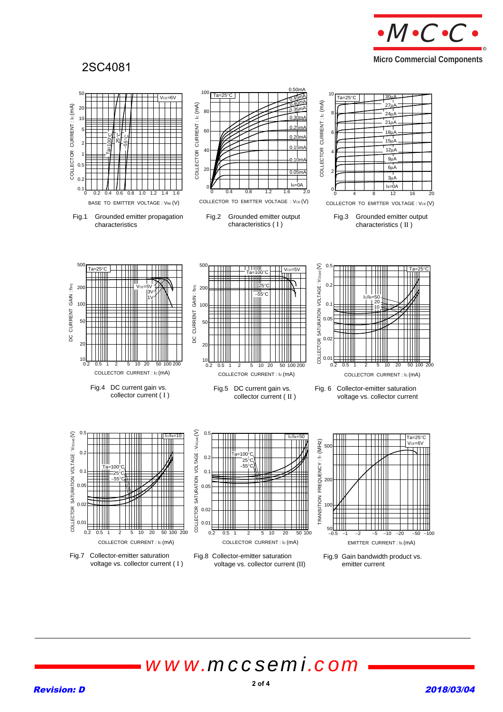

### 2SC4081

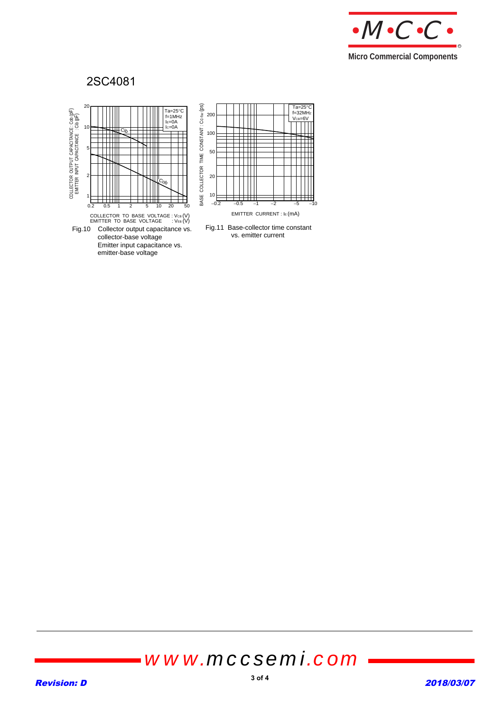

Ta=25°C<br>f=32MHz<br>Vсв=6V

### 2SC4081